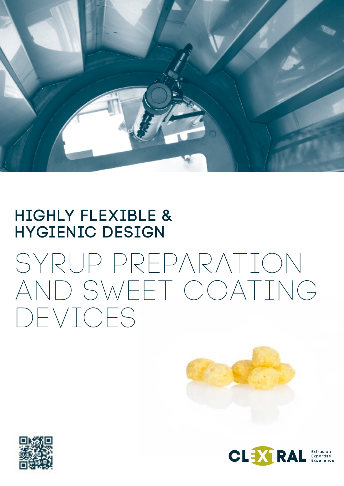

### HIGHLY FLEXIBLE & HYGIENIC DESIGN

# SYRUP PREPARATION AND SWEET COATING DEVICES